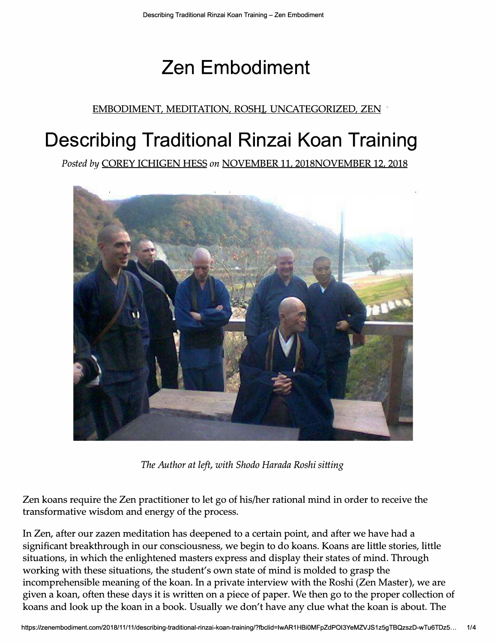# **Zen Embodiment**

#### EMBODIMENT, MEDITATION, ROSHI, UNCATEGORIZED, ZEN

## **Describing Traditional Rinzai Koan Training**

*Posted by* COREY ICHIGEN HESS *on* NOVEMBER 11, 2018NOVEMBER 12, 2018



*The Author at left, with Shodo Harada Roshi sitting* 

Zen koans require the Zen practitioner to let go of his/her rational mind in order to receive the transformative wisdom and energy of the process.

In Zen, after our zazen meditation has deepened to a certain point, and after we have had a significant breakthrough in our consciousness, we begin to do koans. Koans are little stories, little situations, in which the enlightened masters express and display their states of mind. Through working with these situations, the student's own state of mind is molded to grasp the incomprehensible meaning of the koan. In a private interview with the Roshi (Zen Master), we are given a koan, often these days it is written on a piece of paper. We then go to the proper collection of koans and look up the koan in a book. Usually we don't have any clue what the koan is about. The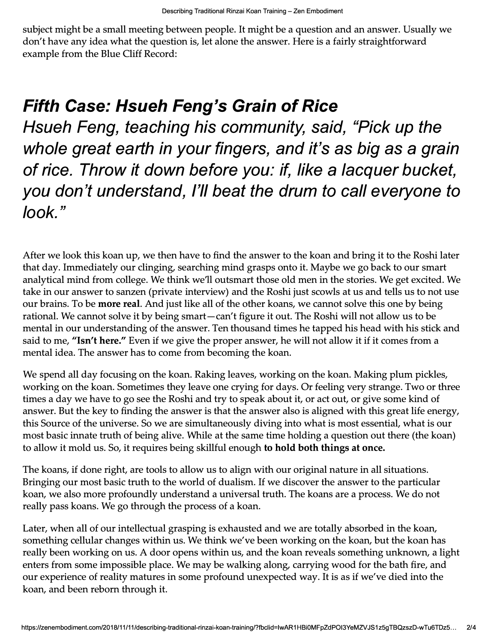subject might be a small meeting between people. It might be a question and an answer. Usually we don't have any idea what the question is, let alone the answer. Here is a fairly straightforward example from the Blue Cliff Record:

#### *Fifth Case: Hsueh Feng's Grain of Rice*

*Hsueh Feng, teaching his community, said, "Pick up the whole great earth in your fingers, and it's as big as* **a** *grain of rice. Throw it down before you: if, like* **a** *lacquer bucket, you don't understand, I'll beat the drum to call everyone to look."* 

After we look this koan up, we then have to find the answer to the koan and bring it to the Roshi later that day. Immediately our clinging, searching mind grasps onto it. Maybe we go back to our smart analytical mind from college. We think we11 outsmart those old men in the stories. We get excited. We take in our answer to sanzen (private interview) and the Roshi just scowls at us and tells us to not use our brains. To be **more real.** And just like all of the other koans, we cannot solve this one by being rational. We cannot solve it by being smart-can't figure it out. The Roshi will not allow us to be mental in our understanding of the answer. Ten thousand times he tapped his head with his stick and said to me, "Isn't here." Even if we give the proper answer, he will not allow it if it comes from a mental idea. The answer has to come from becoming the koan.

We spend all day focusing on the koan. Raking leaves, working on the koan. Making plum pickles, working on the koan. Sometimes they leave one crying for days. Or feeling very strange. Two or three times a day we have to go see the Roshi and try to speak about it, or act out, or give some kind of answer. But the key to finding the answer is that the answer also is aligned with this great life energy, this Source of the universe. So we are simultaneously diving into what is most essential, what is our most basic innate truth of being alive. While at the same time holding a question out there (the koan) to allow it mold us. So, it requires being skillful enough **to hold both things at once.** 

The koans, if done right, are tools to allow us to align with our original nature in all situations. Bringing our most basic truth to the world of dualism. If we discover the answer to the particular koan, we also more profoundly understand a universal truth. The koans are a process. We do not really pass koans. We go through the process of a koan.

Later, when all of our intellectual grasping is exhausted and we are totally absorbed in the koan, something cellular changes within us. We think we've been working on the koan, but the koan has really been working on us. A door opens within us, and the koan reveals something unknown, a light enters from some impossible place. We may be walking along, carrying wood for the bath fire, and our experience of reality matures in some profound unexpected way. It is as if we've died into the koan, and been reborn through it.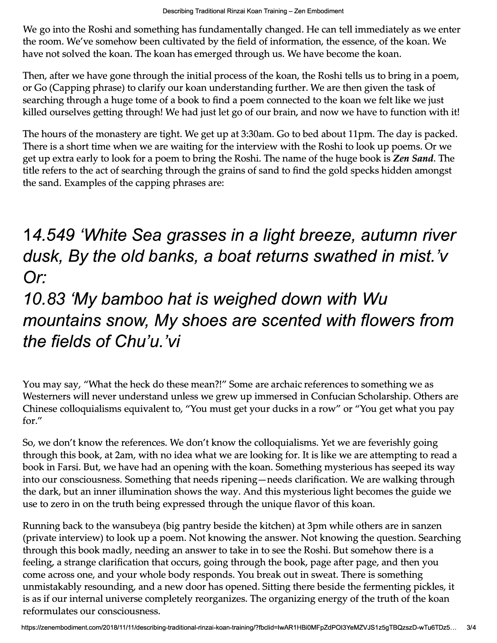We go into the Roshi and something has fundamentally changed. He can tell immediately as we enter the room. We've somehow been cultivated by the field of information, the essence, of the koan. We have not solved the koan. The koan has emerged through us. We have become the koan.

Then, after we have gone through the initial process of the koan, the Roshi tells us to bring in a poem, or Go (Capping phrase) to clarify our koan understanding further. We are then given the task of searching through a huge tome of a book to find a poem connected to the koan we felt like we just killed ourselves getting through! We had just let go of our brain, and now we have to function with it!

The hours of the monastery are tight. We get up at 3:30am. Go to bed about 11pm. The day is packed. There is a short time when we are waiting for the interview with the Roshi to look up poems. Or we get up extra early to look for a poem to bring the Roshi. The name of the huge book is *Zen Sand.* The title refers to the act of searching through the grains of sand to find the gold specks hidden amongst the sand. Examples of the capping phrases are:

### *14.549 'White Sea grasses in* **a** *light breeze, autumn river dusk, By the old banks,* **a** *boat returns swathed in mist. 'v Or:*

## *10.83 'My bamboo hat is weighed down with Wu mountains snow, My shoes are scented with flowers from the fields of Chu'u. 'vi*

You may say, "What the heck do these mean?!" Some are archaic references to something we as Westerners will never understand unless we grew up immersed in Confucian Scholarship. Others are Chinese colloquialisms equivalent to, "You must get your ducks in a row" or "You get what you pay for."

So, we don't know the references. We don't know the colloquialisms. Yet we are feverishly going through this book, at 2am, with no idea what we are looking for. It is like we are attempting to read a book in Farsi. But, we have had an opening with the koan. Something mysterious has seeped its way into our consciousness. Something that needs ripening—needs clarification. We are walking through the dark, but an inner illumination shows the way. And this mysterious light becomes the guide we use to zero in on the truth being expressed through the unique flavor of this koan.

Running back to the wansubeya (big pantry beside the kitchen) at 3pm while others are in sanzen (private interview) to look up a poem. Not knowing the answer. Not knowing the question. Searching through this book madly, needing an answer to take in to see the Roshi. But somehow there is a feeling, a strange clarification that occurs, going through the book, page after page, and then you come across one, and your whole body responds. You break out in sweat. There is something unmistakably resounding, and a new door has opened. Sitting there beside the fermenting pickles, it is as if our internal universe completely reorganizes. The organizing energy of the truth of the koan reformulates our consciousness.